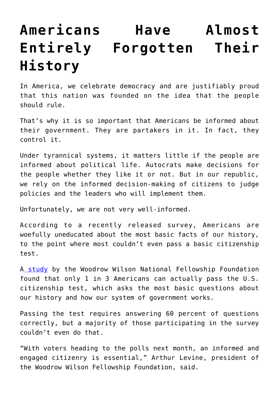## **[Americans Have Almost](https://intellectualtakeout.org/2018/10/americans-have-almost-entirely-forgotten-their-history/) [Entirely Forgotten Their](https://intellectualtakeout.org/2018/10/americans-have-almost-entirely-forgotten-their-history/) [History](https://intellectualtakeout.org/2018/10/americans-have-almost-entirely-forgotten-their-history/)**

In America, we celebrate democracy and are justifiably proud that this nation was founded on the idea that the people should rule.

That's why it is so important that Americans be informed about their government. They are partakers in it. In fact, they control it.

Under tyrannical systems, it matters little if the people are informed about political life. Autocrats make decisions for the people whether they like it or not. But in our republic, we rely on the informed decision-making of citizens to judge policies and the leaders who will implement them.

Unfortunately, we are not very well-informed.

According to a recently released survey, Americans are woefully uneducated about the most basic facts of our history, to the point where most couldn't even pass a basic citizenship test.

A [study](https://woodrow.org/news/national-survey-finds-just-1-in-3-americans-would-pass-citizenship-test/) by the Woodrow Wilson National Fellowship Foundation found that only 1 in 3 Americans can actually pass the U.S. citizenship test, which asks the most basic questions about our history and how our system of government works.

Passing the test requires answering 60 percent of questions correctly, but a majority of those participating in the survey couldn't even do that.

"With voters heading to the polls next month, an informed and engaged citizenry is essential," Arthur Levine, president of the Woodrow Wilson Fellowship Foundation, said.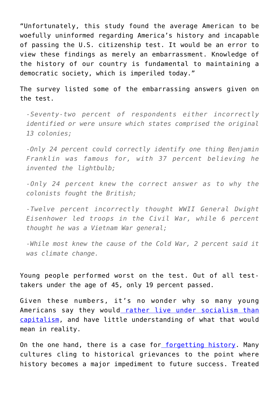"Unfortunately, this study found the average American to be woefully uninformed regarding America's history and incapable of passing the U.S. citizenship test. It would be an error to view these findings as merely an embarrassment. Knowledge of the history of our country is fundamental to maintaining a democratic society, which is imperiled today."

The survey listed some of the embarrassing answers given on the test.

*-Seventy-two percent of respondents either incorrectly identified or were unsure which states comprised the original 13 colonies;*

*-Only 24 percent could correctly identify one thing Benjamin Franklin was famous for, with 37 percent believing he invented the lightbulb;*

*-Only 24 percent knew the correct answer as to why the colonists fought the British;*

*-Twelve percent incorrectly thought WWII General Dwight Eisenhower led troops in the Civil War, while 6 percent thought he was a Vietnam War general;*

*-While most knew the cause of the Cold War, 2 percent said it was climate change.*

Young people performed worst on the test. Out of all testtakers under the age of 45, only 19 percent passed.

Given these numbers, it's no wonder why so many young Americans say they would [rather live under socialism than](https://www.dailysignal.com/2017/11/03/millennials-clueless-communism-heres-thats-problem/) [capitalism](https://www.dailysignal.com/2017/11/03/millennials-clueless-communism-heres-thats-problem/), and have little understanding of what that would mean in reality.

On the one hand, there is a case for [forgetting history.](https://www.amazon.com/Praise-Forgetting-Historical-Memory-Ironies/dp/0300227108) Many cultures cling to historical grievances to the point where history becomes a major impediment to future success. Treated